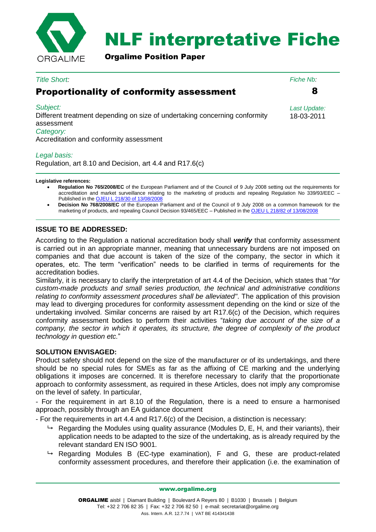

## NLF interpretative Fiche

Orgalime Position Paper

| <b>Title Short:</b>                                                                                                                                          | Fiche Nb:                  |
|--------------------------------------------------------------------------------------------------------------------------------------------------------------|----------------------------|
| <b>Proportionality of conformity assessment</b>                                                                                                              |                            |
| Subject:<br>Different treatment depending on size of undertaking concerning conformity<br>assessment<br>Category:<br>Accreditation and conformity assessment | Last Update:<br>18-03-2011 |

## *Legal basis:*

Regulation, art 8.10 and Decision, art 4.4 and R17.6(c)

**Legislative references:**

- **Regulation No 765/2008/EC** of the European Parliament and of the Council of 9 July 2008 setting out the requirements for accreditation and market surveillance relating to the marketing of products and repealing Regulation No 339/93/EEC – Published in the [OJEU L 218/30 of 13/08/2008](http://eur-lex.europa.eu/LexUriServ/LexUriServ.do?uri=OJ:L:2008:218:0030:0047:EN:PDF)
- **Decision No 768/2008/EC** of the European Parliament and of the Council of 9 July 2008 on a common framework for the marketing of products, and repealing Council Decision 93/465/EEC – Published in the [OJEU L 218/82 of 13/08/2008](http://eur-lex.europa.eu/LexUriServ/LexUriServ.do?uri=OJ:L:2008:218:0082:0128:EN:PDF)

## **ISSUE TO BE ADDRESSED:**

According to the Regulation a national accreditation body shall *verify* that conformity assessment is carried out in an appropriate manner, meaning that unnecessary burdens are not imposed on companies and that due account is taken of the size of the company, the sector in which it operates, etc. The term "verification" needs to be clarified in terms of requirements for the accreditation bodies.

Similarly, it is necessary to clarify the interpretation of art 4.4 of the Decision, which states that "*for custom-made products and small series production, the technical and administrative conditions relating to conformity assessment procedures shall be alleviated"*. The application of this provision may lead to diverging procedures for conformity assessment depending on the kind or size of the undertaking involved. Similar concerns are raised by art R17.6(c) of the Decision, which requires conformity assessment bodies to perform their activities "*taking due account of the size of a company, the sector in which it operates, its structure, the degree of complexity of the product technology in question etc.*"

## **SOLUTION ENVISAGED:**

Product safety should not depend on the size of the manufacturer or of its undertakings, and there should be no special rules for SMEs as far as the affixing of CE marking and the underlying obligations it imposes are concerned. It is therefore necessary to clarify that the proportionate approach to conformity assessment, as required in these Articles, does not imply any compromise on the level of safety. In particular,

- For the requirement in art 8.10 of the Regulation, there is a need to ensure a harmonised approach, possibly through an EA guidance document

- For the requirements in art 4.4 and R17.6(c) of the Decision, a distinction is necessary:

- $\rightarrow$  Regarding the Modules using quality assurance (Modules D, E, H, and their variants), their application needs to be adapted to the size of the undertaking, as is already required by the relevant standard EN ISO 9001.
- $\rightarrow$  Regarding Modules B (EC-type examination), F and G, these are product-related conformity assessment procedures, and therefore their application (i.e. the examination of

www.orgalime.org